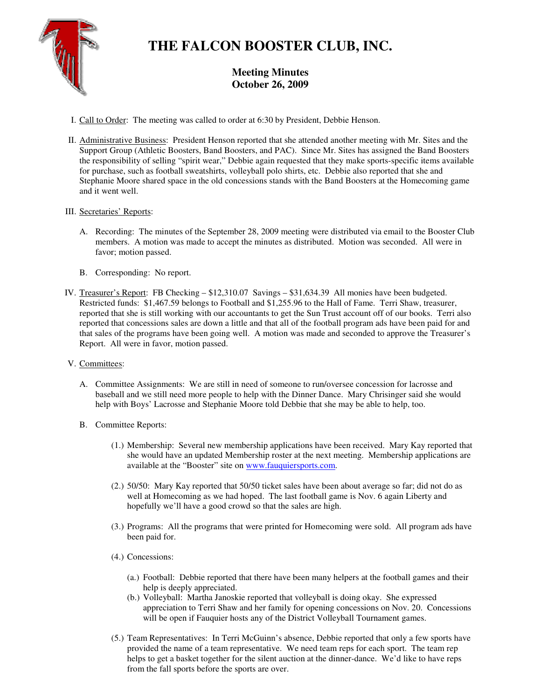

## **THE FALCON BOOSTER CLUB, INC.**

## **Meeting Minutes October 26, 2009**

- I. Call to Order: The meeting was called to order at 6:30 by President, Debbie Henson.
- II. Administrative Business: President Henson reported that she attended another meeting with Mr. Sites and the Support Group (Athletic Boosters, Band Boosters, and PAC). Since Mr. Sites has assigned the Band Boosters the responsibility of selling "spirit wear," Debbie again requested that they make sports-specific items available for purchase, such as football sweatshirts, volleyball polo shirts, etc. Debbie also reported that she and Stephanie Moore shared space in the old concessions stands with the Band Boosters at the Homecoming game and it went well.

## III. Secretaries' Reports:

- A. Recording: The minutes of the September 28, 2009 meeting were distributed via email to the Booster Club members. A motion was made to accept the minutes as distributed. Motion was seconded. All were in favor; motion passed.
- B. Corresponding: No report.
- IV. Treasurer's Report: FB Checking \$12,310.07 Savings \$31,634.39 All monies have been budgeted. Restricted funds: \$1,467.59 belongs to Football and \$1,255.96 to the Hall of Fame. Terri Shaw, treasurer, reported that she is still working with our accountants to get the Sun Trust account off of our books. Terri also reported that concessions sales are down a little and that all of the football program ads have been paid for and that sales of the programs have been going well. A motion was made and seconded to approve the Treasurer's Report. All were in favor, motion passed.
- V. Committees:
	- A. Committee Assignments: We are still in need of someone to run/oversee concession for lacrosse and baseball and we still need more people to help with the Dinner Dance. Mary Chrisinger said she would help with Boys' Lacrosse and Stephanie Moore told Debbie that she may be able to help, too.
	- B. Committee Reports:
		- (1.) Membership: Several new membership applications have been received. Mary Kay reported that she would have an updated Membership roster at the next meeting. Membership applications are available at the "Booster" site on www.fauquiersports.com.
		- (2.) 50/50: Mary Kay reported that 50/50 ticket sales have been about average so far; did not do as well at Homecoming as we had hoped. The last football game is Nov. 6 again Liberty and hopefully we'll have a good crowd so that the sales are high.
		- (3.) Programs: All the programs that were printed for Homecoming were sold. All program ads have been paid for.
		- (4.) Concessions:
			- (a.) Football: Debbie reported that there have been many helpers at the football games and their help is deeply appreciated.
			- (b.) Volleyball: Martha Janoskie reported that volleyball is doing okay. She expressed appreciation to Terri Shaw and her family for opening concessions on Nov. 20. Concessions will be open if Fauquier hosts any of the District Volleyball Tournament games.
		- (5.) Team Representatives: In Terri McGuinn's absence, Debbie reported that only a few sports have provided the name of a team representative. We need team reps for each sport. The team rep helps to get a basket together for the silent auction at the dinner-dance. We'd like to have reps from the fall sports before the sports are over.